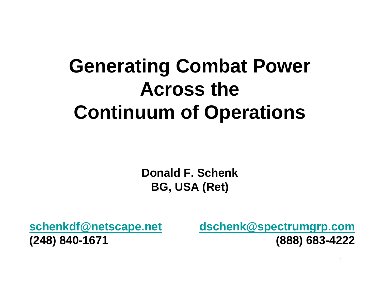# **Generating Combat Power Across the Continuum of Operations**

**Donald F. SchenkBG, USA (Ret)**

**schenkdf@netscape.net (248) 840-1671**

**dschenk@spectrumgrp.com (888) 683-4222**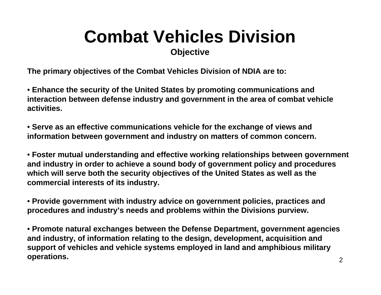# **Combat Vehicles Division**

### **Objective**

**The primary objectives of the Combat Vehicles Division of NDIA are to:**

• **Enhance the security of the United States by promoting communications and interaction between defense industry and government in the area of combat vehicle activities.**

• **Serve as an effective communications vehicle for the exchange of views and information between government and industry on matters of common concern.**

• **Foster mutual understanding and effective working relationships between government and industry in order to achieve a sound body of government policy and procedures which will serve both the security objectives of the United States as well as the commercial interests of its industry.**

• **Provide government with industry advice on government policies, practices and procedures and industry's needs and problems within the Divisions purview.**

• **Promote natural exchanges between the Defense Department, government agencies and industry, of information relating to the design, development, acquisition and support of vehicles and vehicle systems employed in land and amphibious military operations.**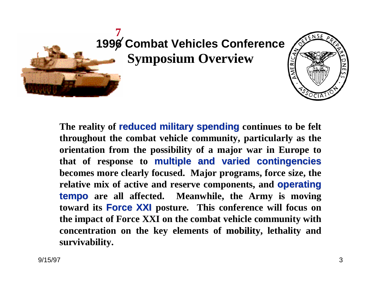

**1996 Combat Vehicles Conference Symposium Overview**



The reality of **reduced military spending** continues to be felt **throughout the combat vehicle community, particularly as the orientation from the possibility of a major war in Europe to that of response to multiple and varied contingencies multiple and varied contingencies becomes more clearly focused. Major programs, force size, the**  relative mix of active and reserve components, and **operating tempo are all affected. Meanwhile, the Army is moving toward its Force XXI posture. This conference will focus on the impact of Force XXI on the combat vehicle community with concentration on the key elements of mobility, lethality and mobility survivability.**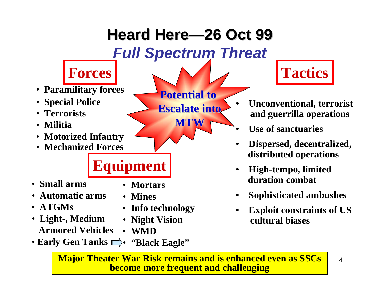

**Major Theater War Risk remains and is enhanced even as SSCs become more frequent and challenging**

4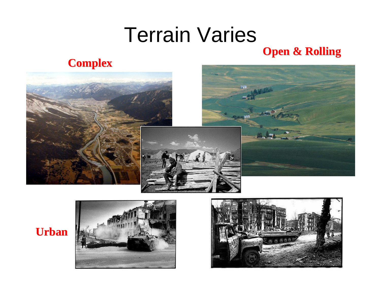## Terrain Varies **Open & Rolling Open & Rolling**

### **Complex Complex**







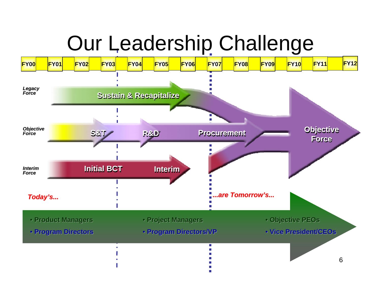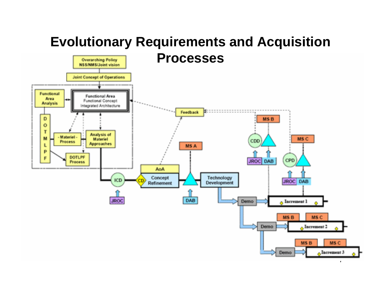#### **Evolutionary Requirements and Acquisition ProcessesOverarching Policy NSS/NMS/Joint vision Joint Concept of Operations** Functional Functional Area Area Functional Concept **Analysis** Integrated Architecture ш **Feedback** D **MSB**  $\bullet$ T Analysis of - Materiel -M MS C Materiel CDD Process. **Approaches** L MS A P **DOTLPF** F CPD **JROC** DAB **Precess AnA** Technology Concept **ICD JROC DAB** Development Refinement DAB **JROC**  $\sim$  Increment 1 Demo MS<sub>B</sub> MS<sub>C</sub>  $_{\alpha}$  Increment 2 Demo MSB MS C  $\sim$ Increment 3 Demo<sub></sub>

 $\mathbf{r}$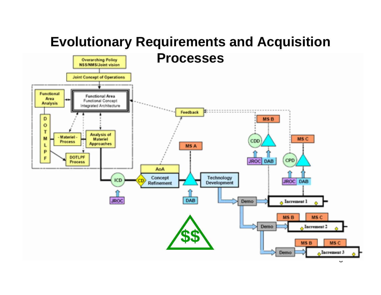#### **Evolutionary Requirements and Acquisition ProcessesOverarching Policy NSS/NMS/Joint vision Joint Concept of Operations** Functional Functional Area Area Functional Concept **Analysis** Integrated Architecture ш **Feedback** D **MSB**  $\bullet$ T Analysis of - Materiel -M MS C Materiel CDD Process. **Approaches** L MS A P **DOTLPF** F CPD **JROC** DAB **Precess AnA** Technology Concept **ICD JROC DAB Development** Refinement DAB **JROC**  $\sim$  Increment 1 Demo MS<sub>B</sub> MS<sub>C</sub> Demo , Increment 2 **\$\$**MS C MS<sub>B</sub>  $\Lambda$ Increment 3 Demo

 $\mathbf v$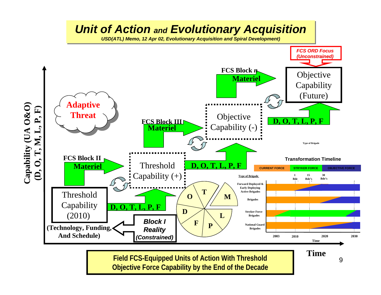

**Field FCS-Equipped Units of Action With Threshold Objective Force Capability by the End of the Decade**

9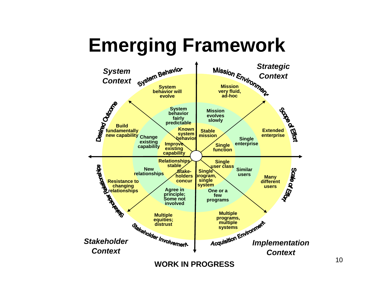# **Emerging Framework**

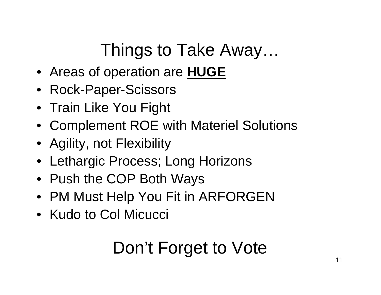Things to Take Away…

- Areas of operation are **HUGE**
- Rock-Paper-Scissors
- Train Like You Fight
- Complement ROE with Materiel Solutions
- Agility, not Flexibility
- Lethargic Process; Long Horizons
- Push the COP Both Ways
- PM Must Help You Fit in ARFORGEN
- Kudo to Col Micucci

## Don't Forget to Vote